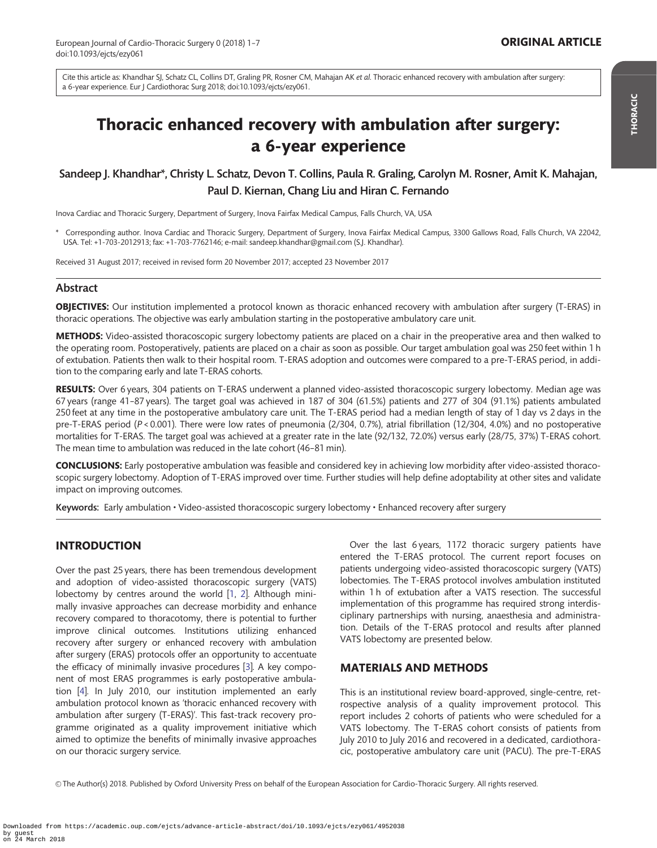<span id="page-0-0"></span>Cite this article as: Khandhar SJ, Schatz CL, Collins DT, Graling PR, Rosner CM, Mahajan AK et al. Thoracic enhanced recovery with ambulation after surgery: a 6-year experience. Eur J Cardiothorac Surg 2018; doi:10.1093/ejcts/ezy061.

# Thoracic enhanced recovery with ambulation after surgery: a 6-year experience

## Sandeep J. Khandhar\*, Christy L. Schatz, Devon T. Collins, Paula R. Graling, Carolyn M. Rosner, Amit K. Mahajan, Paul D. Kiernan, Chang Liu and Hiran C. Fernando

Inova Cardiac and Thoracic Surgery, Department of Surgery, Inova Fairfax Medical Campus, Falls Church, VA, USA

\* Corresponding author. Inova Cardiac and Thoracic Surgery, Department of Surgery, Inova Fairfax Medical Campus, 3300 Gallows Road, Falls Church, VA 22042, USA. Tel: +1-703-2012913; fax: +1-703-7762146; e-mail: sandeep.khandhar@gmail.com (S.J. Khandhar).

Received 31 August 2017; received in revised form 20 November 2017; accepted 23 November 2017

## Abstract

OBJECTIVES: Our institution implemented a protocol known as thoracic enhanced recovery with ambulation after surgery (T-ERAS) in thoracic operations. The objective was early ambulation starting in the postoperative ambulatory care unit.

METHODS: Video-assisted thoracoscopic surgery lobectomy patients are placed on a chair in the preoperative area and then walked to the operating room. Postoperatively, patients are placed on a chair as soon as possible. Our target ambulation goal was 250 feet within 1 h of extubation. Patients then walk to their hospital room. T-ERAS adoption and outcomes were compared to a pre-T-ERAS period, in addition to the comparing early and late T-ERAS cohorts.

RESULTS: Over 6 years, 304 patients on T-ERAS underwent a planned video-assisted thoracoscopic surgery lobectomy. Median age was 67 years (range 41–87 years). The target goal was achieved in 187 of 304 (61.5%) patients and 277 of 304 (91.1%) patients ambulated 250 feet at any time in the postoperative ambulatory care unit. The T-ERAS period had a median length of stay of 1 day vs 2 days in the pre-T-ERAS period (P < 0.001). There were low rates of pneumonia (2/304, 0.7%), atrial fibrillation (12/304, 4.0%) and no postoperative mortalities for T-ERAS. The target goal was achieved at a greater rate in the late (92/132, 72.0%) versus early (28/75, 37%) T-ERAS cohort. The mean time to ambulation was reduced in the late cohort (46–81 min).

CONCLUSIONS: Early postoperative ambulation was feasible and considered key in achieving low morbidity after video-assisted thoracoscopic surgery lobectomy. Adoption of T-ERAS improved over time. Further studies will help define adoptability at other sites and validate impact on improving outcomes.

Keywords: Early ambulation • Video-assisted thoracoscopic surgery lobectomy • Enhanced recovery after surgery

## INTRODUCTION

Over the past 25 years, there has been tremendous development and adoption of video-assisted thoracoscopic surgery (VATS) lobectomy by centres around the world [[1,](#page-6-0) [2](#page-6-0)]. Although minimally invasive approaches can decrease morbidity and enhance recovery compared to thoracotomy, there is potential to further improve clinical outcomes. Institutions utilizing enhanced recovery after surgery or enhanced recovery with ambulation after surgery (ERAS) protocols offer an opportunity to accentuate the efficacy of minimally invasive procedures [[3](#page-6-0)]. A key component of most ERAS programmes is early postoperative ambulation [\[4\]](#page-6-0). In July 2010, our institution implemented an early ambulation protocol known as 'thoracic enhanced recovery with ambulation after surgery (T-ERAS)'. This fast-track recovery programme originated as a quality improvement initiative which aimed to optimize the benefits of minimally invasive approaches on our thoracic surgery service.

Over the last 6 years, 1172 thoracic surgery patients have entered the T-ERAS protocol. The current report focuses on patients undergoing video-assisted thoracoscopic surgery (VATS) lobectomies. The T-ERAS protocol involves ambulation instituted within 1 h of extubation after a VATS resection. The successful implementation of this programme has required strong interdisciplinary partnerships with nursing, anaesthesia and administration. Details of the T-ERAS protocol and results after planned VATS lobectomy are presented below.

## MATERIALS AND METHODS

This is an institutional review board-approved, single-centre, retrospective analysis of a quality improvement protocol. This report includes 2 cohorts of patients who were scheduled for a VATS lobectomy. The T-ERAS cohort consists of patients from July 2010 to July 2016 and recovered in a dedicated, cardiothoracic, postoperative ambulatory care unit (PACU). The pre-T-ERAS

V<sup>C</sup> The Author(s) 2018. Published by Oxford University Press on behalf of the European Association for Cardio-Thoracic Surgery. All rights reserved.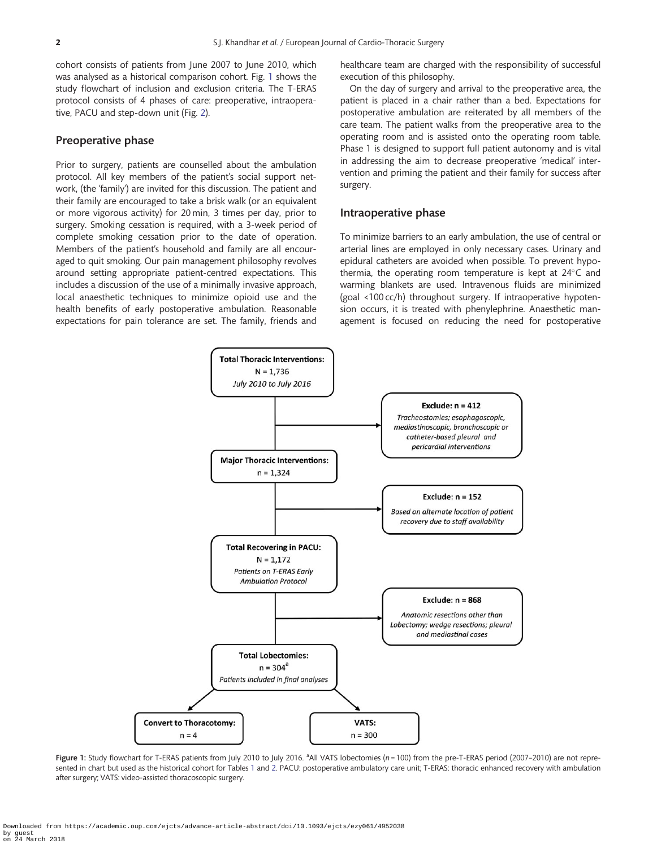cohort consists of patients from June 2007 to June 2010, which was analysed as a historical comparison cohort. Fig. 1 shows the study flowchart of inclusion and exclusion criteria. The T-ERAS protocol consists of 4 phases of care: preoperative, intraoperative, PACU and step-down unit (Fig. [2\)](#page-2-0).

#### Preoperative phase

Prior to surgery, patients are counselled about the ambulation protocol. All key members of the patient's social support network, (the 'family') are invited for this discussion. The patient and their family are encouraged to take a brisk walk (or an equivalent or more vigorous activity) for 20 min, 3 times per day, prior to surgery. Smoking cessation is required, with a 3-week period of complete smoking cessation prior to the date of operation. Members of the patient's household and family are all encouraged to quit smoking. Our pain management philosophy revolves around setting appropriate patient-centred expectations. This includes a discussion of the use of a minimally invasive approach, local anaesthetic techniques to minimize opioid use and the health benefits of early postoperative ambulation. Reasonable expectations for pain tolerance are set. The family, friends and

healthcare team are charged with the responsibility of successful execution of this philosophy.

On the day of surgery and arrival to the preoperative area, the patient is placed in a chair rather than a bed. Expectations for postoperative ambulation are reiterated by all members of the care team. The patient walks from the preoperative area to the operating room and is assisted onto the operating room table. Phase 1 is designed to support full patient autonomy and is vital in addressing the aim to decrease preoperative 'medical' intervention and priming the patient and their family for success after surgery.

#### Intraoperative phase

To minimize barriers to an early ambulation, the use of central or arterial lines are employed in only necessary cases. Urinary and epidural catheters are avoided when possible. To prevent hypothermia, the operating room temperature is kept at  $24^{\circ}$ C and warming blankets are used. Intravenous fluids are minimized (goal <100 cc/h) throughout surgery. If intraoperative hypotension occurs, it is treated with phenylephrine. Anaesthetic management is focused on reducing the need for postoperative



Figure 1: Study flowchart for T-ERAS patients from July 2010 to July 2016. <sup>a</sup>All VATS lobectomies (n = 100) from the pre-T-ERAS period (2007-2010) are not represented in chart but used as the historical cohort for Tables [1](#page-4-0) and [2](#page-4-0). PACU: postoperative ambulatory care unit; T-ERAS: thoracic enhanced recovery with ambulation after surgery; VATS: video-assisted thoracoscopic surgery.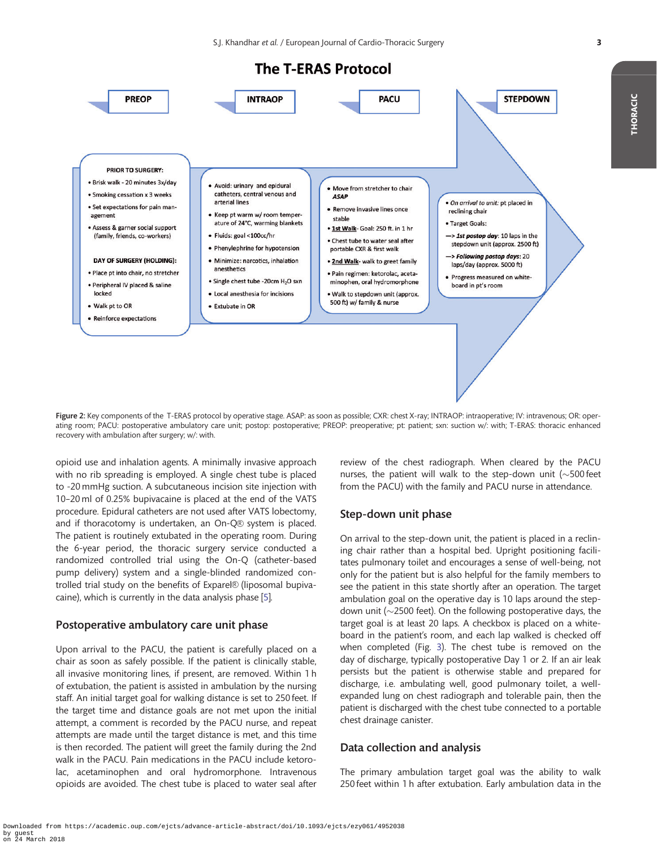**The T-ERAS Protocol** 

<span id="page-2-0"></span>

Figure 2: Key components of the T-ERAS protocol by operative stage. ASAP: as soon as possible; CXR: chest X-ray; INTRAOP: intraoperative; IV: intravenous; OR: operating room; PACU: postoperative ambulatory care unit; postop: postoperative; PREOP: preoperative; pt: patient; sxn: suction w/: with; T-ERAS: thoracic enhanced recovery with ambulation after surgery; w/: with.

opioid use and inhalation agents. A minimally invasive approach with no rib spreading is employed. A single chest tube is placed to -20 mmHg suction. A subcutaneous incision site injection with 10–20 ml of 0.25% bupivacaine is placed at the end of the VATS procedure. Epidural catheters are not used after VATS lobectomy, and if thoracotomy is undertaken, an On-Q® system is placed. The patient is routinely extubated in the operating room. During the 6-year period, the thoracic surgery service conducted a randomized controlled trial using the On-Q (catheter-based pump delivery) system and a single-blinded randomized controlled trial study on the benefits of Exparel® (liposomal bupivacaine), which is currently in the data analysis phase [[5](#page-6-0)].

#### Postoperative ambulatory care unit phase

Upon arrival to the PACU, the patient is carefully placed on a chair as soon as safely possible. If the patient is clinically stable, all invasive monitoring lines, if present, are removed. Within 1 h of extubation, the patient is assisted in ambulation by the nursing staff. An initial target goal for walking distance is set to 250 feet. If the target time and distance goals are not met upon the initial attempt, a comment is recorded by the PACU nurse, and repeat attempts are made until the target distance is met, and this time is then recorded. The patient will greet the family during the 2nd walk in the PACU. Pain medications in the PACU include ketorolac, acetaminophen and oral hydromorphone. Intravenous opioids are avoided. The chest tube is placed to water seal after

review of the chest radiograph. When cleared by the PACU nurses, the patient will walk to the step-down unit  $(\sim$  500 feet from the PACU) with the family and PACU nurse in attendance.

#### Step-down unit phase

On arrival to the step-down unit, the patient is placed in a reclining chair rather than a hospital bed. Upright positioning facilitates pulmonary toilet and encourages a sense of well-being, not only for the patient but is also helpful for the family members to see the patient in this state shortly after an operation. The target ambulation goal on the operative day is 10 laps around the stepdown unit ( $\sim$ 2500 feet). On the following postoperative days, the target goal is at least 20 laps. A checkbox is placed on a whiteboard in the patient's room, and each lap walked is checked off when completed (Fig. [3\)](#page-3-0). The chest tube is removed on the day of discharge, typically postoperative Day 1 or 2. If an air leak persists but the patient is otherwise stable and prepared for discharge, i.e. ambulating well, good pulmonary toilet, a wellexpanded lung on chest radiograph and tolerable pain, then the patient is discharged with the chest tube connected to a portable chest drainage canister.

## Data collection and analysis

The primary ambulation target goal was the ability to walk 250 feet within 1 h after extubation. Early ambulation data in the THORACIC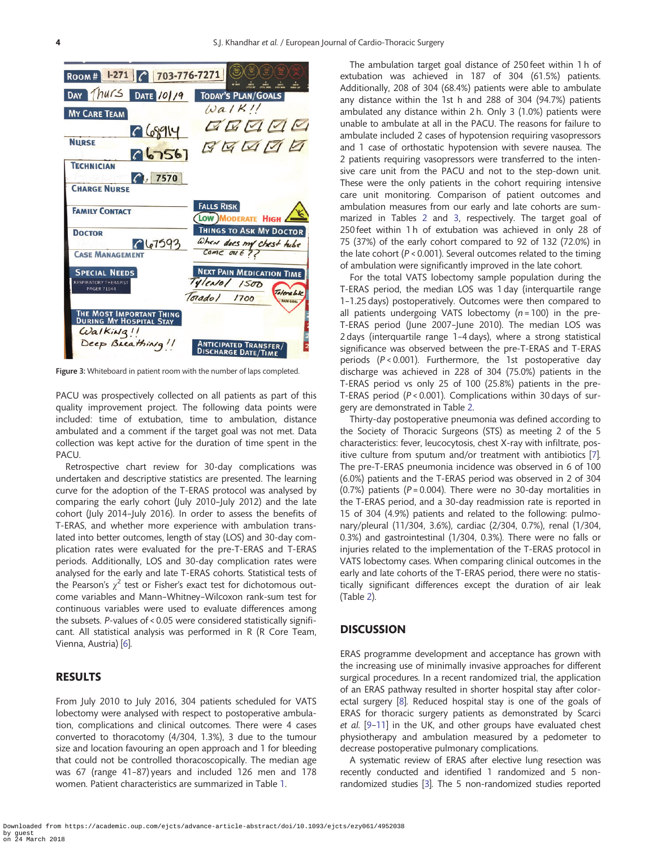<span id="page-3-0"></span>

Figure 3: Whiteboard in patient room with the number of laps completed.

PACU was prospectively collected on all patients as part of this quality improvement project. The following data points were included: time of extubation, time to ambulation, distance ambulated and a comment if the target goal was not met. Data collection was kept active for the duration of time spent in the PACU.

Retrospective chart review for 30-day complications was undertaken and descriptive statistics are presented. The learning curve for the adoption of the T-ERAS protocol was analysed by comparing the early cohort (July 2010–July 2012) and the late cohort (July 2014–July 2016). In order to assess the benefits of T-ERAS, and whether more experience with ambulation translated into better outcomes, length of stay (LOS) and 30-day complication rates were evaluated for the pre-T-ERAS and T-ERAS periods. Additionally, LOS and 30-day complication rates were analysed for the early and late T-ERAS cohorts. Statistical tests of the Pearson's  $\chi^2$  test or Fisher's exact test for dichotomous outcome variables and Mann–Whitney–Wilcoxon rank-sum test for continuous variables were used to evaluate differences among the subsets. P-values of < 0.05 were considered statistically significant. All statistical analysis was performed in R (R Core Team, Vienna, Austria) [[6](#page-6-0)].

### RESULTS

From July 2010 to July 2016, 304 patients scheduled for VATS lobectomy were analysed with respect to postoperative ambulation, complications and clinical outcomes. There were 4 cases converted to thoracotomy (4/304, 1.3%), 3 due to the tumour size and location favouring an open approach and 1 for bleeding that could not be controlled thoracoscopically. The median age was 67 (range 41–87) years and included 126 men and 178 women. Patient characteristics are summarized in Table [1.](#page-4-0)

The ambulation target goal distance of 250 feet within 1 h of extubation was achieved in 187 of 304 (61.5%) patients. Additionally, 208 of 304 (68.4%) patients were able to ambulate any distance within the 1st h and 288 of 304 (94.7%) patients ambulated any distance within 2 h. Only 3 (1.0%) patients were unable to ambulate at all in the PACU. The reasons for failure to ambulate included 2 cases of hypotension requiring vasopressors and 1 case of orthostatic hypotension with severe nausea. The 2 patients requiring vasopressors were transferred to the intensive care unit from the PACU and not to the step-down unit. These were the only patients in the cohort requiring intensive care unit monitoring. Comparison of patient outcomes and ambulation measures from our early and late cohorts are summarized in Tables [2](#page-4-0) and [3,](#page-5-0) respectively. The target goal of 250 feet within 1 h of extubation was achieved in only 28 of 75 (37%) of the early cohort compared to 92 of 132 (72.0%) in the late cohort ( $P < 0.001$ ). Several outcomes related to the timing of ambulation were significantly improved in the late cohort.

For the total VATS lobectomy sample population during the T-ERAS period, the median LOS was 1 day (interquartile range 1–1.25 days) postoperatively. Outcomes were then compared to all patients undergoing VATS lobectomy  $(n = 100)$  in the pre-T-ERAS period (June 2007-June 2010). The median LOS was 2 days (interquartile range 1–4 days), where a strong statistical significance was observed between the pre-T-ERAS and T-ERAS periods (P < 0.001). Furthermore, the 1st postoperative day discharge was achieved in 228 of 304 (75.0%) patients in the T-ERAS period vs only 25 of 100 (25.8%) patients in the pre-T-ERAS period (P < 0.001). Complications within 30 days of surgery are demonstrated in Table [2.](#page-4-0)

Thirty-day postoperative pneumonia was defined according to the Society of Thoracic Surgeons (STS) as meeting 2 of the 5 characteristics: fever, leucocytosis, chest X-ray with infiltrate, positive culture from sputum and/or treatment with antibiotics [[7](#page-6-0)]. The pre-T-ERAS pneumonia incidence was observed in 6 of 100 (6.0%) patients and the T-ERAS period was observed in 2 of 304 (0.7%) patients ( $P = 0.004$ ). There were no 30-day mortalities in the T-ERAS period, and a 30-day readmission rate is reported in 15 of 304 (4.9%) patients and related to the following: pulmonary/pleural (11/304, 3.6%), cardiac (2/304, 0.7%), renal (1/304, 0.3%) and gastrointestinal (1/304, 0.3%). There were no falls or injuries related to the implementation of the T-ERAS protocol in VATS lobectomy cases. When comparing clinical outcomes in the early and late cohorts of the T-ERAS period, there were no statistically significant differences except the duration of air leak (Table [2\)](#page-4-0).

#### **DISCUSSION**

ERAS programme development and acceptance has grown with the increasing use of minimally invasive approaches for different surgical procedures. In a recent randomized trial, the application of an ERAS pathway resulted in shorter hospital stay after colorectal surgery [\[8\]](#page-6-0). Reduced hospital stay is one of the goals of ERAS for thoracic surgery patients as demonstrated by Scarci et al. [[9–11](#page-6-0)] in the UK, and other groups have evaluated chest physiotherapy and ambulation measured by a pedometer to decrease postoperative pulmonary complications.

A systematic review of ERAS after elective lung resection was recently conducted and identified 1 randomized and 5 nonrandomized studies [[3](#page-6-0)]. The 5 non-randomized studies reported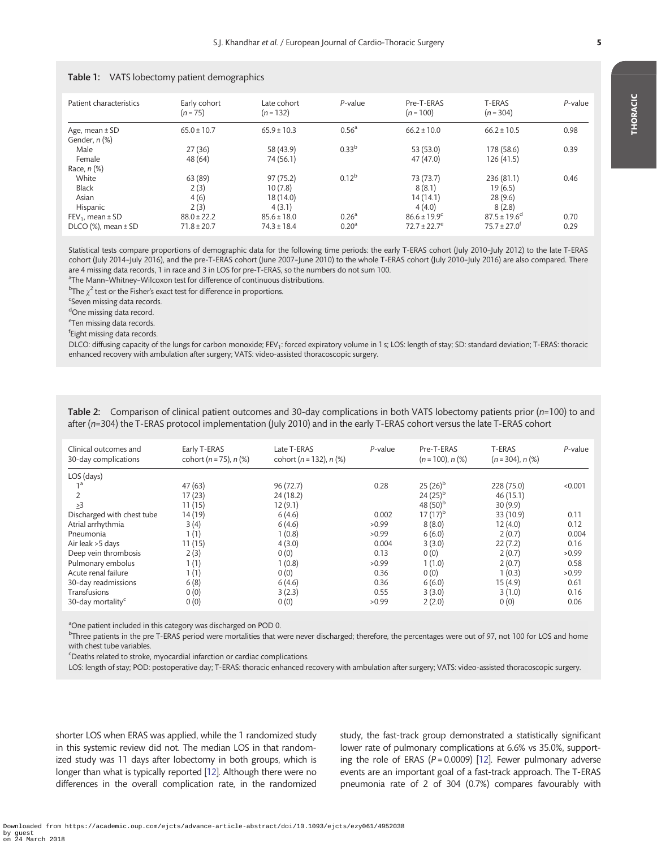| Patient characteristics             | Early cohort<br>$(n = 75)$ | Late cohort<br>$(n = 132)$ | $P$ -value        | Pre-T-ERAS<br>$(n = 100)$    | T-ERAS<br>$(n = 304)$        | P-value |
|-------------------------------------|----------------------------|----------------------------|-------------------|------------------------------|------------------------------|---------|
| Age, mean $\pm$ SD<br>Gender, n (%) | $65.0 \pm 10.7$            | $65.9 \pm 10.3$            | 0.56 <sup>a</sup> | $66.2 \pm 10.0$              | $66.2 \pm 10.5$              | 0.98    |
| Male                                | 27(36)                     | 58 (43.9)                  | 0.33 <sup>b</sup> | 53 (53.0)                    | 178 (58.6)                   | 0.39    |
| Female                              | 48 (64)                    | 74 (56.1)                  |                   | 47 (47.0)                    | 126 (41.5)                   |         |
| Race, $n$ $%$                       |                            |                            |                   |                              |                              |         |
| White                               | 63 (89)                    | 97(75.2)                   | $0.12^{b}$        | 73 (73.7)                    | 236 (81.1)                   | 0.46    |
| <b>Black</b>                        | 2(3)                       | 10(7.8)                    |                   | 8(8.1)                       | 19(6.5)                      |         |
| Asian                               | 4(6)                       | 18 (14.0)                  |                   | 14(14.1)                     | 28(9.6)                      |         |
| Hispanic                            | 2(3)                       | 4(3.1)                     |                   | 4(4.0)                       | 8(2.8)                       |         |
| $FEV_1$ , mean $\pm$ SD             | $88.0 \pm 22.2$            | $85.6 \pm 18.0$            | 0.26 <sup>a</sup> | $86.6 \pm 19.9$ <sup>c</sup> | $87.5 \pm 19.6$ <sup>d</sup> | 0.70    |
| $DICO$ (%), mean $\pm$ SD           | $71.8 \pm 20.7$            | $74.3 \pm 18.4$            | 0.20 <sup>a</sup> | $72.7 \pm 22.7$ <sup>e</sup> | $75.7 \pm 27.0$ <sup>t</sup> | 0.29    |

#### <span id="page-4-0"></span>Table 1: VATS lobectomy patient demographics

Statistical tests compare proportions of demographic data for the following time periods: the early T-ERAS cohort (July 2010–July 2012) to the late T-ERAS cohort (July 2014–July 2016), and the pre-T-ERAS cohort (June 2007–June 2010) to the whole T-ERAS cohort (July 2010–July 2016) are also compared. There are 4 missing data records, 1 in race and 3 in LOS for pre-T-ERAS, so the numbers do not sum 100.

<sup>a</sup>The Mann-Whitney-Wilcoxon test for difference of continuous distributions.

 $^{\rm b}$ The  $\chi^2$  test or the Fisher's exact test for difference in proportions.

<sup>c</sup>Seven missing data records.

<sup>d</sup>One missing data record.

<sup>e</sup>Ten missing data records.

f Eight missing data records.

DLCO: diffusing capacity of the lungs for carbon monoxide; FEV<sub>1</sub>: forced expiratory volume in 1 s; LOS: length of stay; SD: standard deviation; T-ERAS: thoracic enhanced recovery with ambulation after surgery; VATS: video-assisted thoracoscopic surgery.

Table 2: Comparison of clinical patient outcomes and 30-day complications in both VATS lobectomy patients prior (n=100) to and after (n=304) the T-ERAS protocol implementation (July 2010) and in the early T-ERAS cohort versus the late T-ERAS cohort

| Clinical outcomes and<br>30-day complications | Early T-ERAS<br>cohort ( $n = 75$ ), $n$ (%) | Late T-ERAS<br>cohort ( $n = 132$ ), $n$ (%) | $P$ -value | Pre-T-ERAS<br>$(n = 100)$ , n $(\%)$ | T-ERAS<br>$(n=304)$ , n $(\%)$ | P-value |
|-----------------------------------------------|----------------------------------------------|----------------------------------------------|------------|--------------------------------------|--------------------------------|---------|
| LOS (days)                                    |                                              |                                              |            |                                      |                                |         |
| 1 <sup>a</sup>                                | 47(63)                                       | 96(72.7)                                     | 0.28       | $25(26)^{b}$                         | 228 (75.0)                     | < 0.001 |
|                                               | 17(23)                                       | 24 (18.2)                                    |            | $24(25)^{b}$                         | 46(15.1)                       |         |
| >3                                            | 11(15)                                       | 12(9.1)                                      |            | 48 $(50)^{b}$                        | 30(9.9)                        |         |
| Discharged with chest tube                    | 14 (19)                                      | 6(4.6)                                       | 0.002      | $17(17)^{b}$                         | 33 (10.9)                      | 0.11    |
| Atrial arrhythmia                             | 3(4)                                         | 6(4.6)                                       | >0.99      | 8(8.0)                               | 12(4.0)                        | 0.12    |
| Pneumonia                                     | 1(1)                                         | 1(0.8)                                       | >0.99      | 6(6.0)                               | 2(0.7)                         | 0.004   |
| Air leak >5 days                              | 11(15)                                       | 4(3.0)                                       | 0.004      | 3(3.0)                               | 22(7.2)                        | 0.16    |
| Deep vein thrombosis                          | 2(3)                                         | 0(0)                                         | 0.13       | 0(0)                                 | 2(0.7)                         | >0.99   |
| Pulmonary embolus                             | 1(1)                                         | 1(0.8)                                       | >0.99      | 1(1.0)                               | 2(0.7)                         | 0.58    |
| Acute renal failure                           | 1(1)                                         | 0(0)                                         | 0.36       | 0(0)                                 | 1(0.3)                         | >0.99   |
| 30-day readmissions                           | 6(8)                                         | 6(4.6)                                       | 0.36       | 6(6.0)                               | 15 (4.9)                       | 0.61    |
| Transfusions                                  | 0(0)                                         | 3(2.3)                                       | 0.55       | 3(3.0)                               | 3(1.0)                         | 0.16    |
| 30-day mortality <sup>c</sup>                 | 0(0)                                         | 0(0)                                         | >0.99      | 2(2.0)                               | 0(0)                           | 0.06    |

<sup>a</sup>One patient included in this category was discharged on POD 0.

<sup>b</sup>Three patients in the pre T-ERAS period were mortalities that were never discharged; therefore, the percentages were out of 97, not 100 for LOS and home with chest tube variables.

<sup>c</sup>Deaths related to stroke, myocardial infarction or cardiac complications.

LOS: length of stay; POD: postoperative day; T-ERAS: thoracic enhanced recovery with ambulation after surgery; VATS: video-assisted thoracoscopic surgery.

shorter LOS when ERAS was applied, while the 1 randomized study in this systemic review did not. The median LOS in that randomized study was 11 days after lobectomy in both groups, which is longer than what is typically reported [[12\]](#page-6-0). Although there were no differences in the overall complication rate, in the randomized study, the fast-track group demonstrated a statistically significant lower rate of pulmonary complications at 6.6% vs 35.0%, supporting the role of ERAS ( $P = 0.0009$ ) [[12\]](#page-6-0). Fewer pulmonary adverse events are an important goal of a fast-track approach. The T-ERAS pneumonia rate of 2 of 304 (0.7%) compares favourably with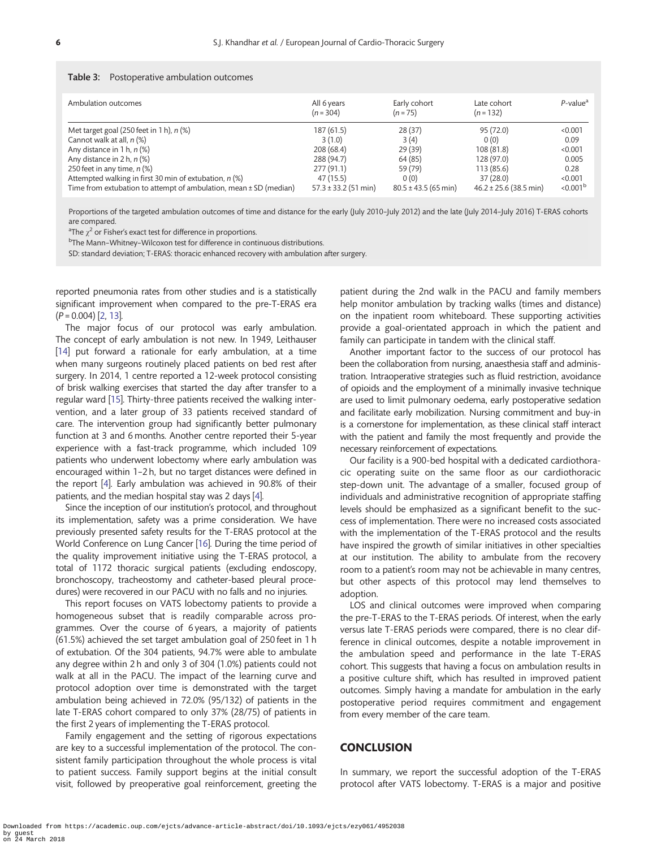#### <span id="page-5-0"></span>Table 3: Postoperative ambulation outcomes

| Ambulation outcomes                                               | All 6 years<br>$(n = 304)$ | Early cohort<br>$(n = 75)$ | Late cohort<br>$(n = 132)$ | $P$ -value <sup>a</sup> |
|-------------------------------------------------------------------|----------------------------|----------------------------|----------------------------|-------------------------|
| Met target goal (250 feet in 1 h), $n$ (%)                        | 187 (61.5)                 | 28(37)                     | 95 (72.0)                  | < 0.001                 |
| Cannot walk at all, n (%)                                         | 3(1.0)                     | 3(4)                       | 0(0)                       | 0.09                    |
| Any distance in 1 h, $n$ (%)                                      | 208 (68.4)                 | 29(39)                     | 108 (81.8)                 | < 0.001                 |
| Any distance in 2 h, $n$ (%)                                      | 288 (94.7)                 | 64 (85)                    | 128 (97.0)                 | 0.005                   |
| 250 feet in any time, $n$ (%)                                     | 277(91.1)                  | 59 (79)                    | 113 (85.6)                 | 0.28                    |
| Attempted walking in first 30 min of extubation, $n$ (%)          | 47 (15.5)                  | 0(0)                       | 37(28.0)                   | < 0.001                 |
| Time from extubation to attempt of ambulation, mean ± SD (median) | $57.3 \pm 33.2$ (51 min)   | $80.5 \pm 43.5$ (65 min)   | $46.2 \pm 25.6$ (38.5 min) | < 0.001 <sup>b</sup>    |

Proportions of the targeted ambulation outcomes of time and distance for the early (July 2010–July 2012) and the late (July 2014–July 2016) T-ERAS cohorts are compared.

<sup>a</sup>The  $\chi^2$  or Fisher's exact test for difference in proportions.

<sup>b</sup>The Mann-Whitney-Wilcoxon test for difference in continuous distributions.

SD: standard deviation; T-ERAS: thoracic enhanced recovery with ambulation after surgery.

reported pneumonia rates from other studies and is a statistically significant improvement when compared to the pre-T-ERAS era  $(P = 0.004)$  [\[2,](#page-6-0) [13\]](#page-6-0).

The major focus of our protocol was early ambulation. The concept of early ambulation is not new. In 1949, Leithauser [\[14](#page-6-0)] put forward a rationale for early ambulation, at a time when many surgeons routinely placed patients on bed rest after surgery. In 2014, 1 centre reported a 12-week protocol consisting of brisk walking exercises that started the day after transfer to a regular ward [\[15](#page-6-0)]. Thirty-three patients received the walking intervention, and a later group of 33 patients received standard of care. The intervention group had significantly better pulmonary function at 3 and 6 months. Another centre reported their 5-year experience with a fast-track programme, which included 109 patients who underwent lobectomy where early ambulation was encouraged within 1–2 h, but no target distances were defined in the report [\[4](#page-6-0)]. Early ambulation was achieved in 90.8% of their patients, and the median hospital stay was 2 days [[4](#page-6-0)].

Since the inception of our institution's protocol, and throughout its implementation, safety was a prime consideration. We have previously presented safety results for the T-ERAS protocol at the World Conference on Lung Cancer [[16\]](#page-6-0). During the time period of the quality improvement initiative using the T-ERAS protocol, a total of 1172 thoracic surgical patients (excluding endoscopy, bronchoscopy, tracheostomy and catheter-based pleural procedures) were recovered in our PACU with no falls and no injuries.

This report focuses on VATS lobectomy patients to provide a homogeneous subset that is readily comparable across programmes. Over the course of 6 years, a majority of patients (61.5%) achieved the set target ambulation goal of 250 feet in 1 h of extubation. Of the 304 patients, 94.7% were able to ambulate any degree within 2 h and only 3 of 304 (1.0%) patients could not walk at all in the PACU. The impact of the learning curve and protocol adoption over time is demonstrated with the target ambulation being achieved in 72.0% (95/132) of patients in the late T-ERAS cohort compared to only 37% (28/75) of patients in the first 2 years of implementing the T-ERAS protocol.

Family engagement and the setting of rigorous expectations are key to a successful implementation of the protocol. The consistent family participation throughout the whole process is vital to patient success. Family support begins at the initial consult visit, followed by preoperative goal reinforcement, greeting the

patient during the 2nd walk in the PACU and family members help monitor ambulation by tracking walks (times and distance) on the inpatient room whiteboard. These supporting activities provide a goal-orientated approach in which the patient and family can participate in tandem with the clinical staff.

Another important factor to the success of our protocol has been the collaboration from nursing, anaesthesia staff and administration. Intraoperative strategies such as fluid restriction, avoidance of opioids and the employment of a minimally invasive technique are used to limit pulmonary oedema, early postoperative sedation and facilitate early mobilization. Nursing commitment and buy-in is a cornerstone for implementation, as these clinical staff interact with the patient and family the most frequently and provide the necessary reinforcement of expectations.

Our facility is a 900-bed hospital with a dedicated cardiothoracic operating suite on the same floor as our cardiothoracic step-down unit. The advantage of a smaller, focused group of individuals and administrative recognition of appropriate staffing levels should be emphasized as a significant benefit to the success of implementation. There were no increased costs associated with the implementation of the T-ERAS protocol and the results have inspired the growth of similar initiatives in other specialties at our institution. The ability to ambulate from the recovery room to a patient's room may not be achievable in many centres, but other aspects of this protocol may lend themselves to adoption.

LOS and clinical outcomes were improved when comparing the pre-T-ERAS to the T-ERAS periods. Of interest, when the early versus late T-ERAS periods were compared, there is no clear difference in clinical outcomes, despite a notable improvement in the ambulation speed and performance in the late T-ERAS cohort. This suggests that having a focus on ambulation results in a positive culture shift, which has resulted in improved patient outcomes. Simply having a mandate for ambulation in the early postoperative period requires commitment and engagement from every member of the care team.

#### **CONCLUSION**

In summary, we report the successful adoption of the T-ERAS protocol after VATS lobectomy. T-ERAS is a major and positive